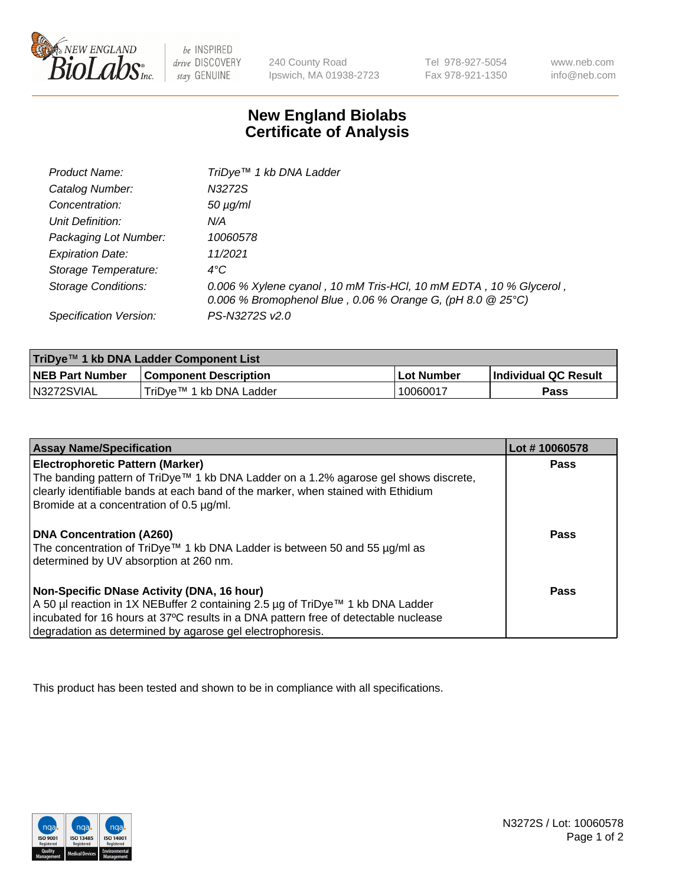

 $be$  INSPIRED drive DISCOVERY stay GENUINE

240 County Road Ipswich, MA 01938-2723 Tel 978-927-5054 Fax 978-921-1350 www.neb.com info@neb.com

## **New England Biolabs Certificate of Analysis**

| Product Name:           | TriDye <sup>™</sup> 1 kb DNA Ladder                                                                                             |
|-------------------------|---------------------------------------------------------------------------------------------------------------------------------|
| Catalog Number:         | N3272S                                                                                                                          |
| Concentration:          | $50 \mu g/ml$                                                                                                                   |
| Unit Definition:        | N/A                                                                                                                             |
| Packaging Lot Number:   | 10060578                                                                                                                        |
| <b>Expiration Date:</b> | 11/2021                                                                                                                         |
| Storage Temperature:    | $4^{\circ}$ C                                                                                                                   |
| Storage Conditions:     | 0.006 % Xylene cyanol, 10 mM Tris-HCl, 10 mM EDTA, 10 % Glycerol,<br>0.006 % Bromophenol Blue, 0.06 % Orange G, (pH 8.0 @ 25°C) |
| Specification Version:  | PS-N3272S v2.0                                                                                                                  |

| TriDye™ 1 kb DNA Ladder Component List |                              |            |                             |  |
|----------------------------------------|------------------------------|------------|-----------------------------|--|
| <b>NEB Part Number</b>                 | <b>Component Description</b> | Lot Number | <b>Individual QC Result</b> |  |
| N3272SVIAL                             | TriDve™ 1 kb DNA Ladder      | 10060017   | Pass                        |  |

| <b>Assay Name/Specification</b>                                                                                                                                                                                                                                                    | Lot #10060578 |
|------------------------------------------------------------------------------------------------------------------------------------------------------------------------------------------------------------------------------------------------------------------------------------|---------------|
| <b>Electrophoretic Pattern (Marker)</b><br>The banding pattern of TriDye™ 1 kb DNA Ladder on a 1.2% agarose gel shows discrete,<br>clearly identifiable bands at each band of the marker, when stained with Ethidium<br>Bromide at a concentration of 0.5 µg/ml.                   | <b>Pass</b>   |
| <b>DNA Concentration (A260)</b><br>The concentration of TriDye™ 1 kb DNA Ladder is between 50 and 55 µg/ml as<br>determined by UV absorption at 260 nm.                                                                                                                            | Pass          |
| Non-Specific DNase Activity (DNA, 16 hour)<br>  A 50 µl reaction in 1X NEBuffer 2 containing 2.5 µg of TriDye™ 1 kb DNA Ladder<br>incubated for 16 hours at 37°C results in a DNA pattern free of detectable nuclease<br>degradation as determined by agarose gel electrophoresis. | Pass          |

This product has been tested and shown to be in compliance with all specifications.